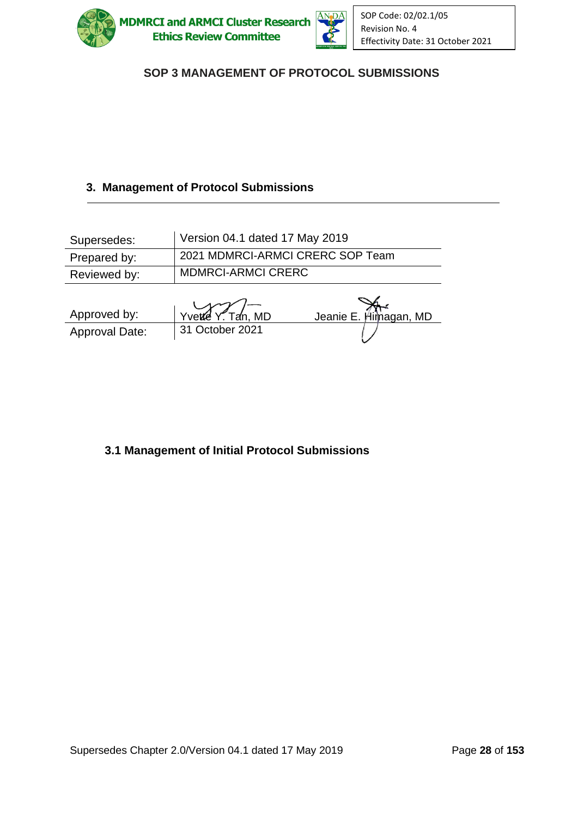



# SOP 3 MANAGEMENT OF PROTOCOL SUBMISSIONS

# **3. Management of Protocol Submissions**

| Supersedes:    | Version 04.1 dated 17 May 2019   |                       |
|----------------|----------------------------------|-----------------------|
| Prepared by:   | 2021 MDMRCI-ARMCI CRERC SOP Team |                       |
| Reviewed by:   | <b>MDMRCI-ARMCI CRERC</b>        |                       |
|                |                                  |                       |
| Approved by:   | $Y$ vette $Y$ . Tan, MD          | Jeanie E. Himagan, MD |
| Approval Date: | 31 October 2021                  |                       |

### **3.1 Management of Initial Protocol Submissions**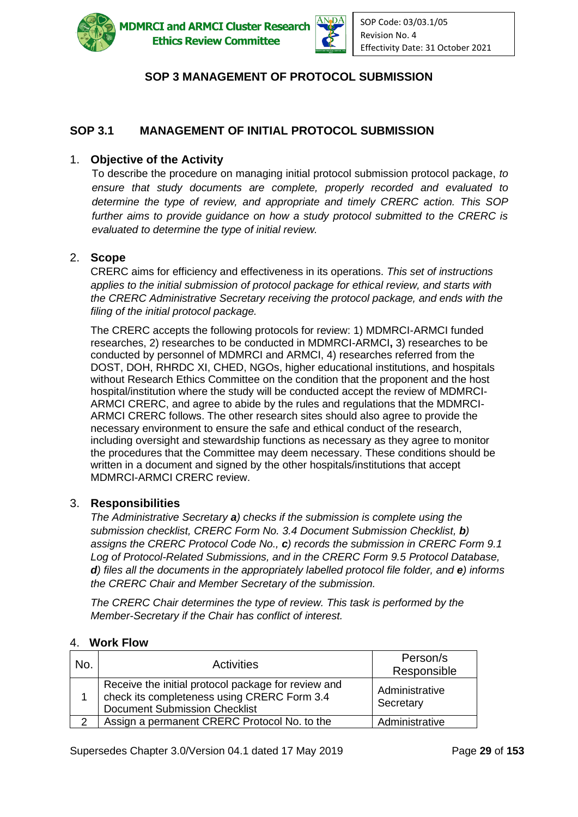

**IDMRCI and ARMCI Cluster Research Ethics Review Committee** 



### **SOP 3 MANAGEMENT OF PROTOCOL SUBMISSION**

### **SOP 3.1 MANAGEMENT OF INITIAL PROTOCOL SUBMISSION**

#### 1. **Objective of the Activity**

To describe the procedure on managing initial protocol submission protocol package, *to ensure that study documents are complete, properly recorded and evaluated to determine the type of review, and appropriate and timely CRERC action. This SOP further aims to provide guidance on how a study protocol submitted to the CRERC is evaluated to determine the type of initial review.*

#### 2. **Scope**

CRERC aims for efficiency and effectiveness in its operations. *This set of instructions applies to the initial submission of protocol package for ethical review, and starts with the CRERC Administrative Secretary receiving the protocol package, and ends with the filing of the initial protocol package.*

The CRERC accepts the following protocols for review: 1) MDMRCI-ARMCI funded researches, 2) researches to be conducted in MDMRCI-ARMCI**,** 3) researches to be conducted by personnel of MDMRCI and ARMCI, 4) researches referred from the DOST, DOH, RHRDC XI, CHED, NGOs, higher educational institutions, and hospitals without Research Ethics Committee on the condition that the proponent and the host hospital/institution where the study will be conducted accept the review of MDMRCI-ARMCI CRERC, and agree to abide by the rules and regulations that the MDMRCI-ARMCI CRERC follows. The other research sites should also agree to provide the necessary environment to ensure the safe and ethical conduct of the research, including oversight and stewardship functions as necessary as they agree to monitor the procedures that the Committee may deem necessary. These conditions should be written in a document and signed by the other hospitals/institutions that accept MDMRCI-ARMCI CRERC review.

#### 3. **Responsibilities**

*The Administrative Secretary a) checks if the submission is complete using the submission checklist, CRERC Form No. 3.4 Document Submission Checklist, b) assigns the CRERC Protocol Code No., c) records the submission in CRERC Form 9.1 Log of Protocol-Related Submissions, and in the CRERC Form 9.5 Protocol Database, d)* files all the documents in the appropriately labelled protocol file folder, and **e***)* informs *the CRERC Chair and Member Secretary of the submission.*

*The CRERC Chair determines the type of review. This task is performed by the Member-Secretary if the Chair has conflict of interest.* 

#### 4. **Work Flow**

| No.           | <b>Activities</b>                                                                                                                          | Person/s<br>Responsible     |
|---------------|--------------------------------------------------------------------------------------------------------------------------------------------|-----------------------------|
|               | Receive the initial protocol package for review and<br>check its completeness using CRERC Form 3.4<br><b>Document Submission Checklist</b> | Administrative<br>Secretary |
| $\mathcal{P}$ | Assign a permanent CRERC Protocol No. to the                                                                                               | Administrative              |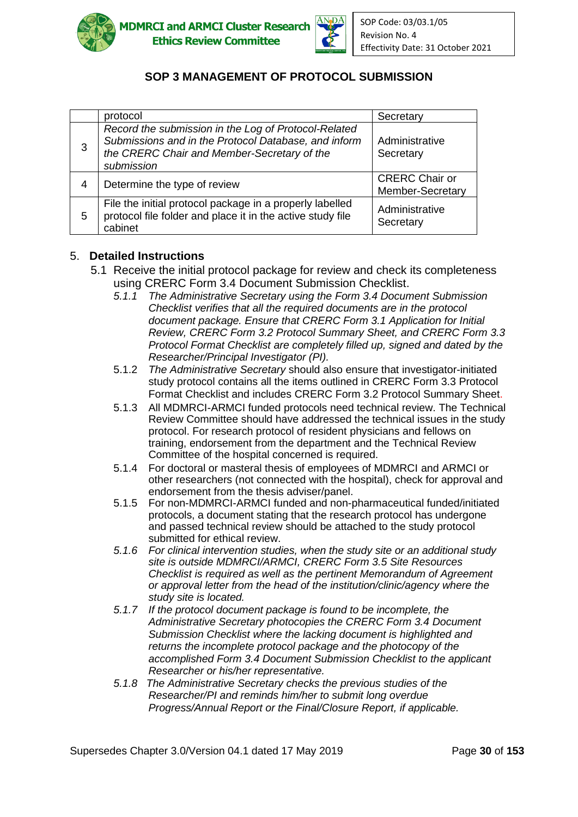



# **SOP 3 MANAGEMENT OF PROTOCOL SUBMISSION**

|   | protocol                                                                                                                                                                  | Secretary                                 |
|---|---------------------------------------------------------------------------------------------------------------------------------------------------------------------------|-------------------------------------------|
| 3 | Record the submission in the Log of Protocol-Related<br>Submissions and in the Protocol Database, and inform<br>the CRERC Chair and Member-Secretary of the<br>submission | Administrative<br>Secretary               |
| 4 | Determine the type of review                                                                                                                                              | <b>CRERC</b> Chair or<br>Member-Secretary |
| 5 | File the initial protocol package in a properly labelled<br>protocol file folder and place it in the active study file<br>cabinet                                         | Administrative<br>Secretary               |

#### 5. **Detailed Instructions**

- 5.1 Receive the initial protocol package for review and check its completeness using CRERC Form 3.4 Document Submission Checklist.
	- *5.1.1 The Administrative Secretary using the Form 3.4 Document Submission Checklist verifies that all the required documents are in the protocol document package. Ensure that CRERC Form 3.1 Application for Initial Review, CRERC Form 3.2 Protocol Summary Sheet, and CRERC Form 3.3 Protocol Format Checklist are completely filled up, signed and dated by the Researcher/Principal Investigator (PI).*
	- 5.1.2 *The Administrative Secretary* should also ensure that investigator-initiated study protocol contains all the items outlined in CRERC Form 3.3 Protocol Format Checklist and includes CRERC Form 3.2 Protocol Summary Sheet.
	- 5.1.3 All MDMRCI-ARMCI funded protocols need technical review. The Technical Review Committee should have addressed the technical issues in the study protocol. For research protocol of resident physicians and fellows on training, endorsement from the department and the Technical Review Committee of the hospital concerned is required.
	- 5.1.4 For doctoral or masteral thesis of employees of MDMRCI and ARMCI or other researchers (not connected with the hospital), check for approval and endorsement from the thesis adviser/panel.
	- 5.1.5 For non-MDMRCI-ARMCI funded and non-pharmaceutical funded/initiated protocols, a document stating that the research protocol has undergone and passed technical review should be attached to the study protocol submitted for ethical review.
	- *5.1.6 For clinical intervention studies, when the study site or an additional study site is outside MDMRCI/ARMCI, CRERC Form 3.5 Site Resources Checklist is required as well as the pertinent Memorandum of Agreement or approval letter from the head of the institution/clinic/agency where the study site is located.*
	- *5.1.7 If the protocol document package is found to be incomplete, the Administrative Secretary photocopies the CRERC Form 3.4 Document Submission Checklist where the lacking document is highlighted and returns the incomplete protocol package and the photocopy of the accomplished Form 3.4 Document Submission Checklist to the applicant Researcher or his/her representative.*
	- *5.1.8 The Administrative Secretary checks the previous studies of the Researcher/PI and reminds him/her to submit long overdue Progress/Annual Report or the Final/Closure Report, if applicable.*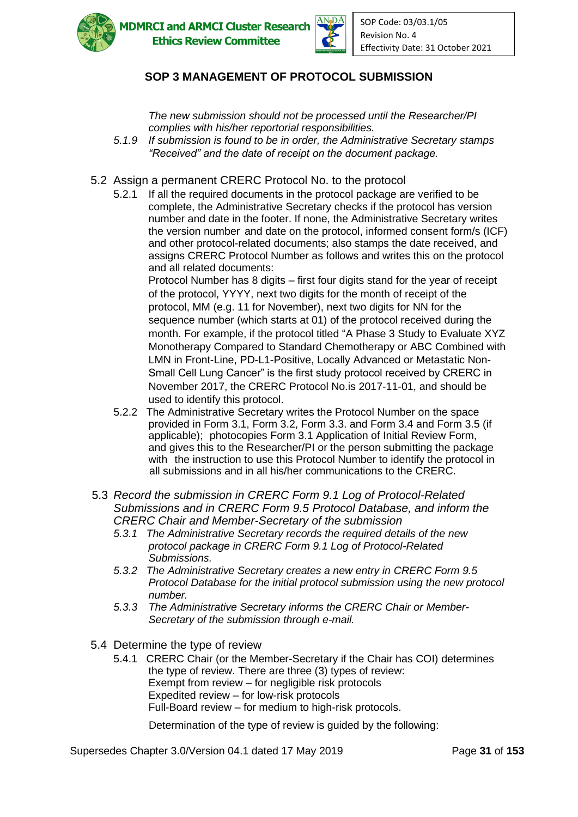

**ADMRCI and ARMCI Cluster Research Ethics Review Committee** 



## **SOP 3 MANAGEMENT OF PROTOCOL SUBMISSION**

*The new submission should not be processed until the Researcher/PI complies with his/her reportorial responsibilities.* 

- *5.1.9 If submission is found to be in order, the Administrative Secretary stamps "Received" and the date of receipt on the document package.*
- 5.2Assign a permanent CRERC Protocol No. to the protocol
	- 5.2.1 If all the required documents in the protocol package are verified to be complete, the Administrative Secretary checks if the protocol has version number and date in the footer. If none, the Administrative Secretary writes the version number and date on the protocol, informed consent form/s (ICF) and other protocol-related documents; also stamps the date received, and assigns CRERC Protocol Number as follows and writes this on the protocol and all related documents:

Protocol Number has 8 digits – first four digits stand for the year of receipt of the protocol, YYYY, next two digits for the month of receipt of the protocol, MM (e.g. 11 for November), next two digits for NN for the sequence number (which starts at 01) of the protocol received during the month. For example, if the protocol titled "A Phase 3 Study to Evaluate XYZ Monotherapy Compared to Standard Chemotherapy or ABC Combined with LMN in Front-Line, PD-L1-Positive, Locally Advanced or Metastatic Non-Small Cell Lung Cancer" is the first study protocol received by CRERC in November 2017, the CRERC Protocol No.is 2017-11-01, and should be used to identify this protocol.

- 5.2.2 The Administrative Secretary writes the Protocol Number on the space provided in Form 3.1, Form 3.2, Form 3.3. and Form 3.4 and Form 3.5 (if applicable); photocopies Form 3.1 Application of Initial Review Form, and gives this to the Researcher/PI or the person submitting the package with the instruction to use this Protocol Number to identify the protocol in all submissions and in all his/her communications to the CRERC.
- 5.3 *Record the submission in CRERC Form 9.1 Log of Protocol-Related Submissions and in CRERC Form 9.5 Protocol Database, and inform the CRERC Chair and Member-Secretary of the submission*
	- *5.3.1 The Administrative Secretary records the required details of the new protocol package in CRERC Form 9.1 Log of Protocol-Related Submissions.*
	- *5.3.2 The Administrative Secretary creates a new entry in CRERC Form 9.5 Protocol Database for the initial protocol submission using the new protocol number.*
	- *5.3.3 The Administrative Secretary informs the CRERC Chair or Member-Secretary of the submission through e-mail.*
- 5.4 Determine the type of review
	- 5.4.1 CRERC Chair (or the Member-Secretary if the Chair has COI) determines the type of review. There are three (3) types of review: Exempt from review – for negligible risk protocols Expedited review – for low-risk protocols Full-Board review – for medium to high-risk protocols.

Determination of the type of review is guided by the following:

Supersedes Chapter 3.0/Version 04.1 dated 17 May 2019 Page **31** of **153**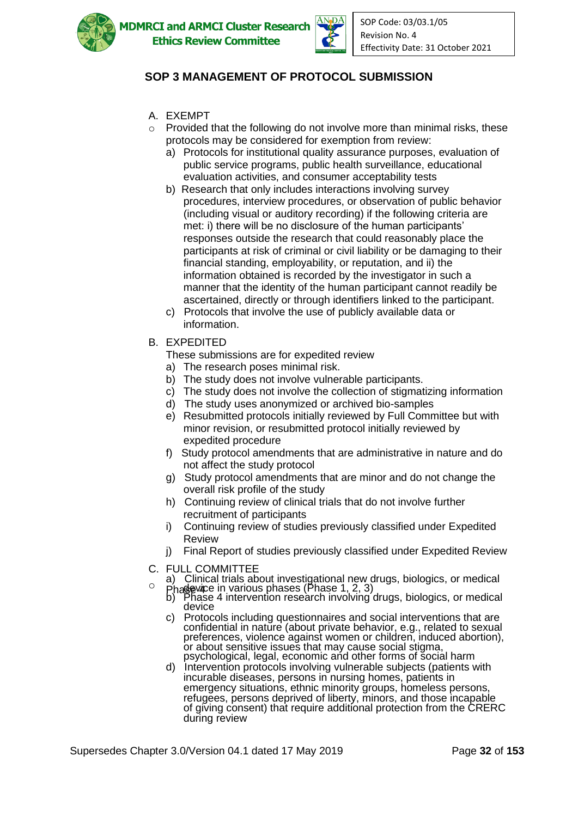

**MDMRCI and ARMCI Cluster Research Ethics Review Committee** 



# **SOP 3 MANAGEMENT OF PROTOCOL SUBMISSION**

- A. EXEMPT
- $\circ$  Provided that the following do not involve more than minimal risks, these protocols may be considered for exemption from review:
	- a) Protocols for institutional quality assurance purposes, evaluation of public service programs, public health surveillance, educational evaluation activities, and consumer acceptability tests
	- b) Research that only includes interactions involving survey procedures, interview procedures, or observation of public behavior (including visual or auditory recording) if the following criteria are met: i) there will be no disclosure of the human participants' responses outside the research that could reasonably place the participants at risk of criminal or civil liability or be damaging to their financial standing, employability, or reputation, and ii) the information obtained is recorded by the investigator in such a manner that the identity of the human participant cannot readily be ascertained, directly or through identifiers linked to the participant.
	- c) Protocols that involve the use of publicly available data or information.
- B. EXPEDITED
	- These submissions are for expedited review
	- a) The research poses minimal risk.
	- b) The study does not involve vulnerable participants.
	- c) The study does not involve the collection of stigmatizing information
	- d) The study uses anonymized or archived bio-samples
	- e) Resubmitted protocols initially reviewed by Full Committee but with minor revision, or resubmitted protocol initially reviewed by expedited procedure
	- f) Study protocol amendments that are administrative in nature and do not affect the study protocol
	- g) Study protocol amendments that are minor and do not change the overall risk profile of the study
	- h) Continuing review of clinical trials that do not involve further recruitment of participants
	- i) Continuing review of studies previously classified under Expedited Review
	- j) Final Report of studies previously classified under Expedited Review
- C. FULL COMMITTEE
- a) Clinical trials about investigational new drugs, biologics, or medical<br>
<sup>O</sup> Phase in various phases (Phase 1, 2, 3)<br>
b) Phase 4 intervention research involving drugs, biologics, or medical
	- device
	- c) Protocols including questionnaires and social interventions that are confidential in nature (about private behavior, e.g., related to sexual preferences, violence against women or children, induced abortion), or about sensitive issues that may cause social stigma, psychological, legal, economic and other forms of social harm
	- d) Intervention protocols involving vulnerable subjects (patients with incurable diseases, persons in nursing homes, patients in emergency situations, ethnic minority groups, homeless persons, refugees, persons deprived of liberty, minors, and those incapable of giving consent) that require additional protection from the CRERC during review